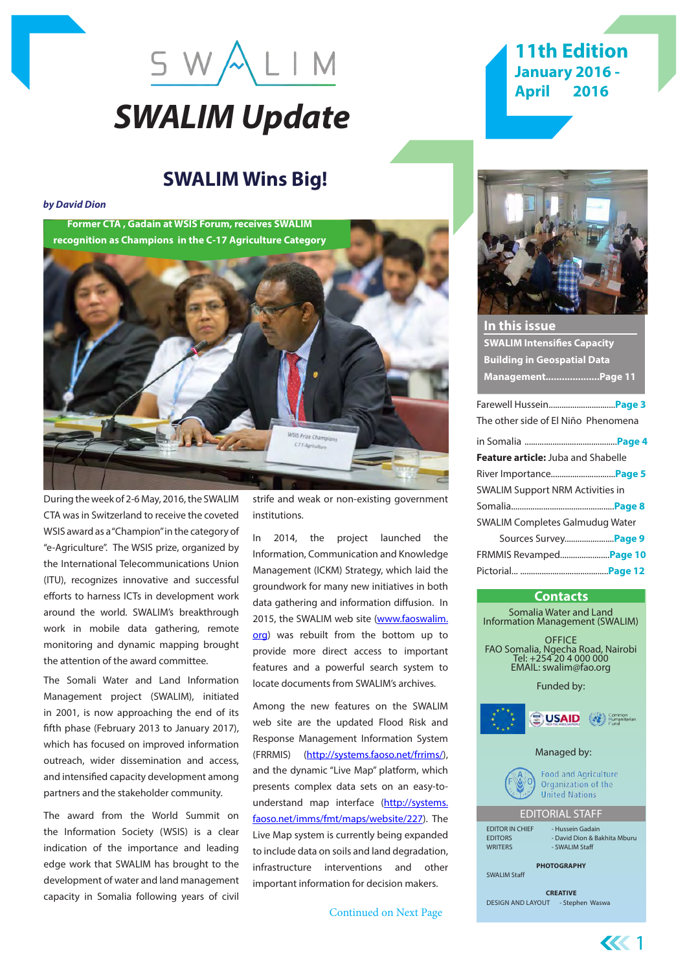

# **11th Edition January 2016 - April 2016**

# **SWALIM Wins Big!**

*by David Dion*

**Former CTA , Gadain at WSIS Forum, receives SWALIM recognition as Champions in the C-17 Agriculture Category**



During the week of 2-6 May, 2016, the SWALIM CTA was in Switzerland to receive the coveted WSIS award as a "Champion" in the category of "e-Agriculture". The WSIS prize, organized by the International Telecommunications Union (ITU), recognizes innovative and successful efforts to harness ICTs in development work around the world. SWALIM's breakthrough work in mobile data gathering, remote monitoring and dynamic mapping brought the attention of the award committee.

The Somali Water and Land Information Management project (SWALIM), initiated in 2001, is now approaching the end of its fifth phase (February 2013 to January 2017), which has focused on improved information outreach, wider dissemination and access, and intensified capacity development among partners and the stakeholder community.

The award from the World Summit on the Information Society (WSIS) is a clear indication of the importance and leading edge work that SWALIM has brought to the development of water and land management capacity in Somalia following years of civil

strife and weak or non-existing government institutions.

2014, the project launched the Information, Communication and Knowledge Management (ICKM) Strategy, which laid the groundwork for many new initiatives in both data gathering and information diffusion. In 2015, the SWALIM web site (www.faoswalim. org) was rebuilt from the bottom up to provide more direct access to important features and a powerful search system to locate documents from SWALIM's archives.

Among the new features on the SWALIM web site are the updated Flood Risk and Response Management Information System (FRRMIS) (http://systems.faoso.net/frrims/), and the dynamic "Live Map" platform, which presents complex data sets on an easy-tounderstand map interface (http://systems. faoso.net/imms/fmt/maps/website/227). The Live Map system is currently being expanded to include data on soils and land degradation, infrastructure interventions and other important information for decision makers.

Continued on Next Page



| In this issue                             |
|-------------------------------------------|
| <b>SWALIM Intensifies Capacity</b>        |
| <b>Building in Geospatial Data</b>        |
| ManagementPage 11                         |
|                                           |
| The other side of El Niño Phenomena       |
|                                           |
| <b>Feature article:</b> Juba and Shabelle |
|                                           |
| <b>SWALIM Support NRM Activities in</b>   |
|                                           |
| <b>SWALIM Completes Galmudug Water</b>    |
| Sources Survey <b>Page 9</b>              |
| FRMMIS Revamped Page 10                   |
|                                           |

#### **Contacts**

Somalia Water and Land Information Management (SWALIM) **OFFICE** FAO Somalia, Ngecha Road, Nairobi Tel: +254 20 4 000 000 EMAIL: swalim@fao.org Funded by: USAID Common<br>Humanitarian Managed by: **Food and Agriculture** Organization of the **United Nations** EDITORIAL STAFF EDITOR IN CHIEF - Hussein Gadain<br>EDITORS - David Dion & B - David Dion & Bakhita Mburu WRITERS - SWALIM Staff **PHOTOGRAPHY** SWALIM Staff **CREATIVE** DESIGN AND LAYOUT - Stephen Waswa

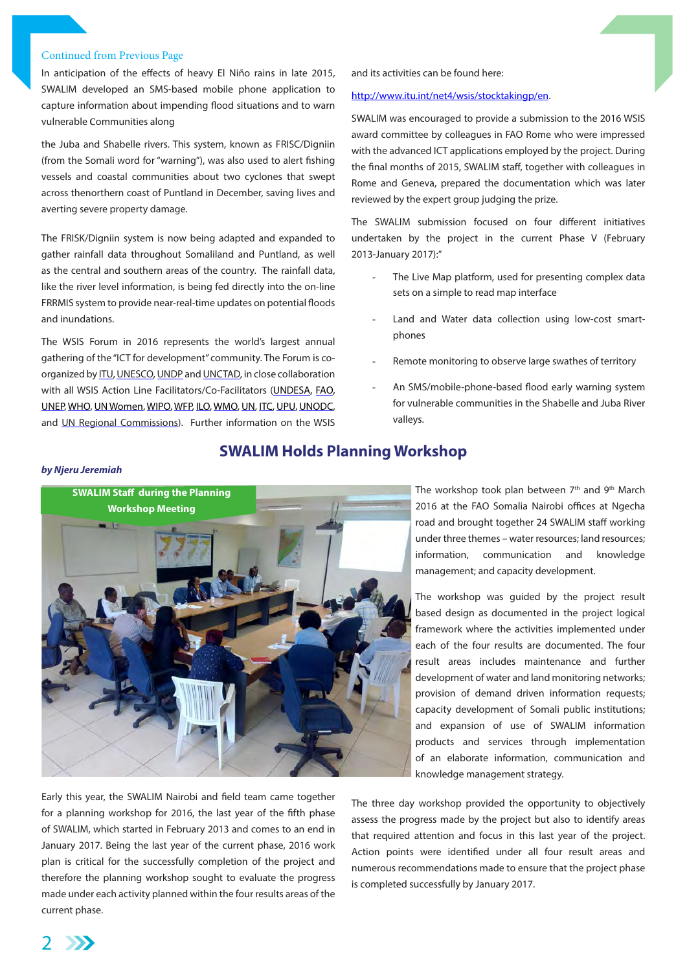#### Continued from Previous Page

In anticipation of the effects of heavy El Niño rains in late 2015, SWALIM developed an SMS-based mobile phone application to capture information about impending flood situations and to warn vulnerable communities along

the Juba and Shabelle rivers. This system, known as FRISC/Digniin (from the Somali word for "warning"), was also used to alert fishing vessels and coastal communities about two cyclones that swept across thenorthern coast of Puntland in December, saving lives and averting severe property damage.

The FRISK/Digniin system is now being adapted and expanded to gather rainfall data throughout Somaliland and Puntland, as well as the central and southern areas of the country. The rainfall data, like the river level information, is being fed directly into the on-line FRRMIS system to provide near-real-time updates on potential floods and inundations.

The WSIS Forum in 2016 represents the world's largest annual gathering of the "ICT for development" community. The Forum is coorganized by ITU, UNESCO, UNDP and UNCTAD, in close collaboration with all WSIS Action Line Facilitators/Co-Facilitators (UNDESA, FAO, UNEP, WHO, UN Women, WIPO, WFP, ILO, WMO, UN, ITC, UPU, UNODC, and UN Regional Commissions). Further information on the WSIS

#### and its activities can be found here:

#### http://www.itu.int/net4/wsis/stocktakingp/en.

SWALIM was encouraged to provide a submission to the 2016 WSIS award committee by colleagues in FAO Rome who were impressed with the advanced ICT applications employed by the project. During the final months of 2015, SWALIM staff, together with colleagues in Rome and Geneva, prepared the documentation which was later reviewed by the expert group judging the prize.

The SWALIM submission focused on four different initiatives undertaken by the project in the current Phase V (February 2013-January 2017):"

- The Live Map platform, used for presenting complex data sets on a simple to read map interface
- Land and Water data collection using low-cost smartphones
- Remote monitoring to observe large swathes of territory
- An SMS/mobile-phone-based flood early warning system for vulnerable communities in the Shabelle and Juba River valleys.

#### *by Njeru Jeremiah*



Early this year, the SWALIM Nairobi and field team came together for a planning workshop for 2016, the last year of the fifth phase of SWALIM, which started in February 2013 and comes to an end in January 2017. Being the last year of the current phase, 2016 work plan is critical for the successfully completion of the project and therefore the planning workshop sought to evaluate the progress made under each activity planned within the four results areas of the current phase.

**SWALIM Holds Planning Workshop**

The workshop took plan between  $7<sup>th</sup>$  and  $9<sup>th</sup>$  March 2016 at the FAO Somalia Nairobi offices at Ngecha road and brought together 24 SWALIM staff working under three themes – water resources; land resources; information, communication and knowledge management; and capacity development.

The workshop was guided by the project result based design as documented in the project logical framework where the activities implemented under each of the four results are documented. The four result areas includes maintenance and further development of water and land monitoring networks; provision of demand driven information requests; capacity development of Somali public institutions; and expansion of use of SWALIM information products and services through implementation of an elaborate information, communication and knowledge management strategy.

The three day workshop provided the opportunity to objectively assess the progress made by the project but also to identify areas that required attention and focus in this last year of the project. Action points were identified under all four result areas and numerous recommendations made to ensure that the project phase is completed successfully by January 2017.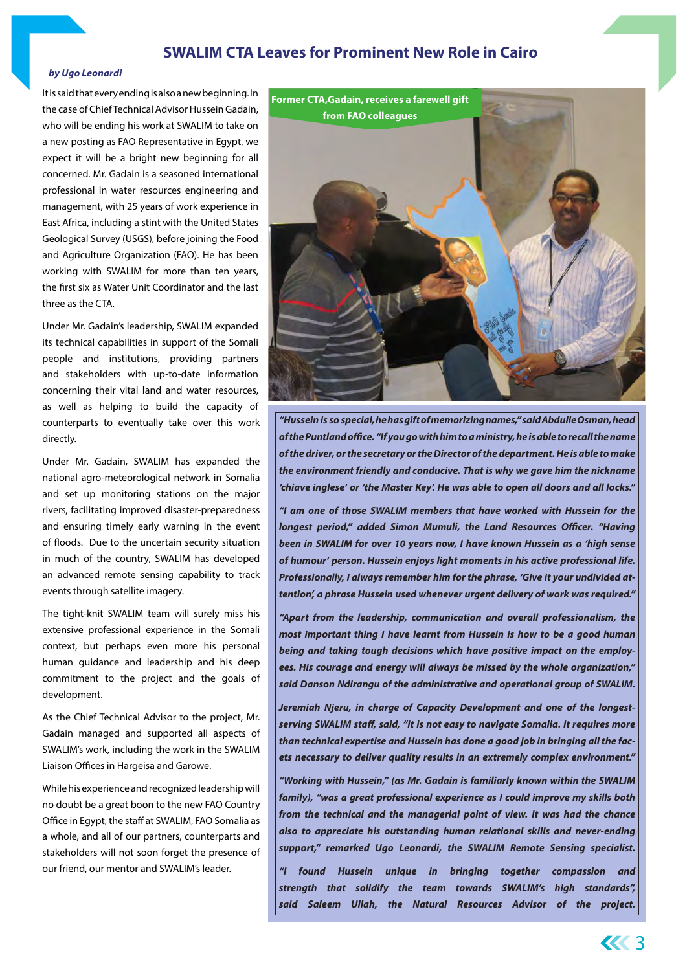### **SWALIM CTA Leaves for Prominent New Role in Cairo**

#### *by Ugo Leonardi*

It is said that every ending is also a new beginning. In the case of Chief Technical Advisor Hussein Gadain, who will be ending his work at SWALIM to take on a new posting as FAO Representative in Egypt, we expect it will be a bright new beginning for all concerned. Mr. Gadain is a seasoned international professional in water resources engineering and management, with 25 years of work experience in East Africa, including a stint with the United States Geological Survey (USGS), before joining the Food and Agriculture Organization (FAO). He has been working with SWALIM for more than ten years, the first six as Water Unit Coordinator and the last three as the CTA.

Under Mr. Gadain's leadership, SWALIM expanded its technical capabilities in support of the Somali people and institutions, providing partners and stakeholders with up-to-date information concerning their vital land and water resources, as well as helping to build the capacity of counterparts to eventually take over this work directly.

Under Mr. Gadain, SWALIM has expanded the national agro-meteorological network in Somalia and set up monitoring stations on the major rivers, facilitating improved disaster-preparedness and ensuring timely early warning in the event of floods. Due to the uncertain security situation in much of the country, SWALIM has developed an advanced remote sensing capability to track events through satellite imagery.

The tight-knit SWALIM team will surely miss his extensive professional experience in the Somali context, but perhaps even more his personal human guidance and leadership and his deep commitment to the project and the goals of development.

As the Chief Technical Advisor to the project, Mr. Gadain managed and supported all aspects of SWALIM's work, including the work in the SWALIM Liaison Offices in Hargeisa and Garowe.

While his experience and recognized leadership will no doubt be a great boon to the new FAO Country Office in Egypt, the staff at SWALIM, FAO Somalia as a whole, and all of our partners, counterparts and stakeholders will not soon forget the presence of our friend, our mentor and SWALIM's leader.



*"Hussein is so special, he has gift of memorizing names," said Abdulle Osman, head of the Puntland office. "If you go with him to a ministry, he is able to recall the name of the driver, or the secretary or the Director of the department. He is able to make the environment friendly and conducive. That is why we gave him the nickname 'chiave inglese' or 'the Master Key'. He was able to open all doors and all locks."*

*"I am one of those SWALIM members that have worked with Hussein for the longest period," added Simon Mumuli, the Land Resources Officer. "Having been in SWALIM for over 10 years now, I have known Hussein as a 'high sense of humour' person. Hussein enjoys light moments in his active professional life. Professionally, I always remember him for the phrase, 'Give it your undivided attention', a phrase Hussein used whenever urgent delivery of work was required."*

*"Apart from the leadership, communication and overall professionalism, the most important thing I have learnt from Hussein is how to be a good human being and taking tough decisions which have positive impact on the employees. His courage and energy will always be missed by the whole organization,'' said Danson Ndirangu of the administrative and operational group of SWALIM.*

*Jeremiah Njeru, in charge of Capacity Development and one of the longestserving SWALIM staff, said, "It is not easy to navigate Somalia. It requires more than technical expertise and Hussein has done a good job in bringing all the facets necessary to deliver quality results in an extremely complex environment."*

*"Working with Hussein," (as Mr. Gadain is familiarly known within the SWALIM family), "was a great professional experience as I could improve my skills both from the technical and the managerial point of view. It was had the chance also to appreciate his outstanding human relational skills and never-ending support," remarked Ugo Leonardi, the SWALIM Remote Sensing specialist.*

*"I found Hussein unique in bringing together compassion and strength that solidify the team towards SWALIM's high standards", said Saleem Ullah, the Natural Resources Advisor of the project.*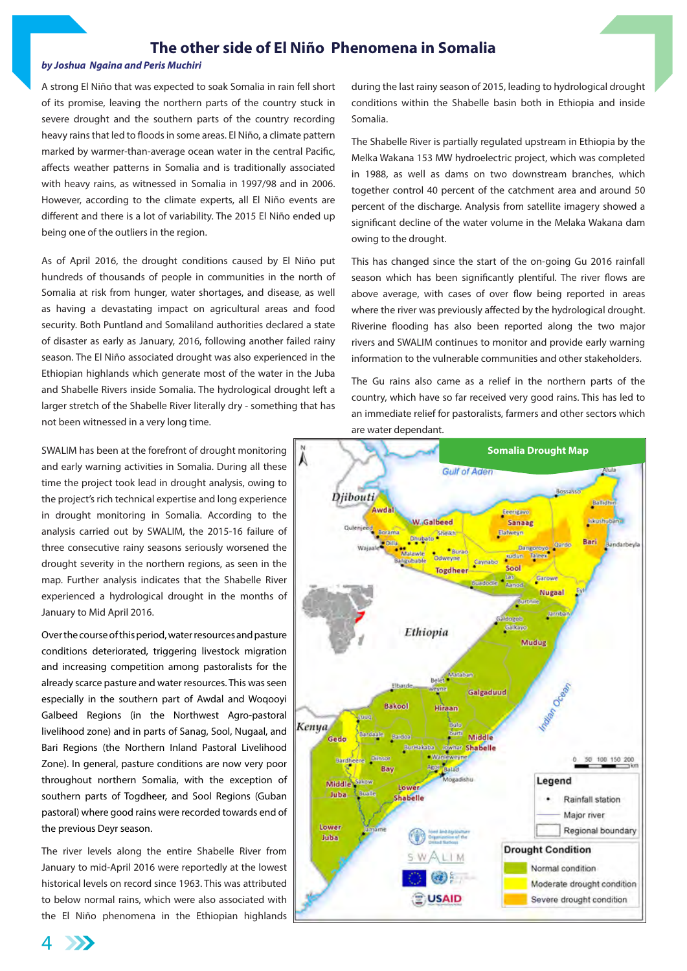### **The other side of El Niño Phenomena in Somalia**

#### *by Joshua Ngaina and Peris Muchiri*

A strong El Niño that was expected to soak Somalia in rain fell short of its promise, leaving the northern parts of the country stuck in severe drought and the southern parts of the country recording heavy rains that led to floods in some areas. El Niño, a climate pattern marked by warmer-than-average ocean water in the central Pacific, affects weather patterns in Somalia and is traditionally associated with heavy rains, as witnessed in Somalia in 1997/98 and in 2006. However, according to the climate experts, all El Niño events are different and there is a lot of variability. The 2015 El Niño ended up being one of the outliers in the region.

As of April 2016, the drought conditions caused by El Niño put hundreds of thousands of people in communities in the north of Somalia at risk from hunger, water shortages, and disease, as well as having a devastating impact on agricultural areas and food security. Both Puntland and Somaliland authorities declared a state of disaster as early as January, 2016, following another failed rainy season. The El Niño associated drought was also experienced in the Ethiopian highlands which generate most of the water in the Juba and Shabelle Rivers inside Somalia. The hydrological drought left a larger stretch of the Shabelle River literally dry - something that has not been witnessed in a very long time.

SWALIM has been at the forefront of drought monitoring and early warning activities in Somalia. During all these time the project took lead in drought analysis, owing to the project's rich technical expertise and long experience in drought monitoring in Somalia. According to the analysis carried out by SWALIM, the 2015-16 failure of three consecutive rainy seasons seriously worsened the drought severity in the northern regions, as seen in the map. Further analysis indicates that the Shabelle River experienced a hydrological drought in the months of January to Mid April 2016.

Over the course of this period, water resources and pasture conditions deteriorated, triggering livestock migration and increasing competition among pastoralists for the already scarce pasture and water resources. This was seen especially in the southern part of Awdal and Woqooyi Galbeed Regions (in the Northwest Agro-pastoral livelihood zone) and in parts of Sanag, Sool, Nugaal, and Bari Regions (the Northern Inland Pastoral Livelihood Zone). In general, pasture conditions are now very poor throughout northern Somalia, with the exception of southern parts of Togdheer, and Sool Regions (Guban pastoral) where good rains were recorded towards end of the previous Deyr season.

The river levels along the entire Shabelle River from January to mid-April 2016 were reportedly at the lowest historical levels on record since 1963. This was attributed to below normal rains, which were also associated with the El Niño phenomena in the Ethiopian highlands during the last rainy season of 2015, leading to hydrological drought conditions within the Shabelle basin both in Ethiopia and inside Somalia.

The Shabelle River is partially regulated upstream in Ethiopia by the Melka Wakana 153 MW hydroelectric project, which was completed in 1988, as well as dams on two downstream branches, which together control 40 percent of the catchment area and around 50 percent of the discharge. Analysis from satellite imagery showed a significant decline of the water volume in the Melaka Wakana dam owing to the drought.

This has changed since the start of the on-going Gu 2016 rainfall season which has been significantly plentiful. The river flows are above average, with cases of over flow being reported in areas where the river was previously affected by the hydrological drought. Riverine flooding has also been reported along the two major rivers and SWALIM continues to monitor and provide early warning information to the vulnerable communities and other stakeholders.

The Gu rains also came as a relief in the northern parts of the country, which have so far received very good rains. This has led to an immediate relief for pastoralists, farmers and other sectors which are water dependant.



 $\Delta$  $\sum$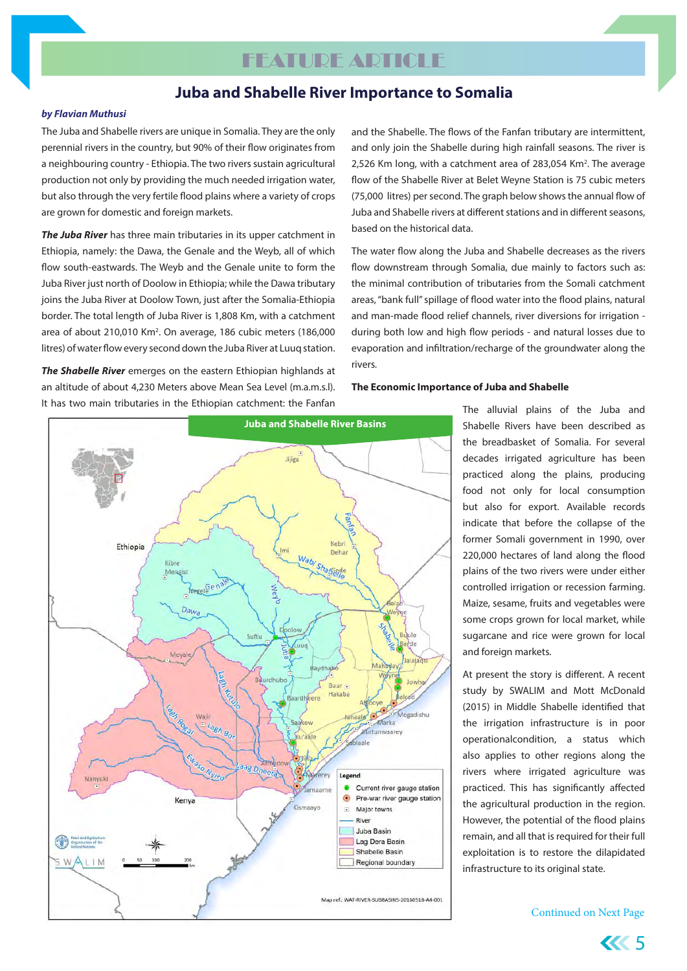# **FEATURE ARTICLE**

### **Juba and Shabelle River Importance to Somalia**

#### *by Flavian Muthusi*

The Juba and Shabelle rivers are unique in Somalia. They are the only perennial rivers in the country, but 90% of their flow originates from a neighbouring country - Ethiopia. The two rivers sustain agricultural production not only by providing the much needed irrigation water, but also through the very fertile flood plains where a variety of crops are grown for domestic and foreign markets.

*The Juba River* has three main tributaries in its upper catchment in Ethiopia, namely: the Dawa, the Genale and the Weyb, all of which flow south-eastwards. The Weyb and the Genale unite to form the Juba River just north of Doolow in Ethiopia; while the Dawa tributary joins the Juba River at Doolow Town, just after the Somalia-Ethiopia border. The total length of Juba River is 1,808 Km, with a catchment area of about 210,010 Km<sup>2</sup>. On average, 186 cubic meters (186,000 litres) of water flow every second down the Juba River at Luuq station.

*The Shabelle River* emerges on the eastern Ethiopian highlands at an altitude of about 4,230 Meters above Mean Sea Level (m.a.m.s.l). It has two main tributaries in the Ethiopian catchment: the Fanfan and the Shabelle. The flows of the Fanfan tributary are intermittent, and only join the Shabelle during high rainfall seasons. The river is 2,526 Km long, with a catchment area of 283,054 Km<sup>2</sup>. The average flow of the Shabelle River at Belet Weyne Station is 75 cubic meters (75,000 litres) per second. The graph below shows the annual flow of Juba and Shabelle rivers at different stations and in different seasons, based on the historical data.

The water flow along the Juba and Shabelle decreases as the rivers flow downstream through Somalia, due mainly to factors such as: the minimal contribution of tributaries from the Somali catchment areas, "bank full" spillage of flood water into the flood plains, natural and man-made flood relief channels, river diversions for irrigation during both low and high flow periods - and natural losses due to evaporation and infiltration/recharge of the groundwater along the rivers.

#### **The Economic Importance of Juba and Shabelle**



The alluvial plains of the Juba and Shabelle Rivers have been described as the breadbasket of Somalia. For several decades irrigated agriculture has been practiced along the plains, producing food not only for local consumption but also for export. Available records indicate that before the collapse of the former Somali government in 1990, over 220,000 hectares of land along the flood plains of the two rivers were under either controlled irrigation or recession farming. Maize, sesame, fruits and vegetables were some crops grown for local market, while sugarcane and rice were grown for local and foreign markets.

At present the story is different. A recent study by SWALIM and Mott McDonald (2015) in Middle Shabelle identified that the irrigation infrastructure is in poor operationalcondition, a status which also applies to other regions along the rivers where irrigated agriculture was practiced. This has significantly affected the agricultural production in the region. However, the potential of the flood plains remain, and all that is required for their full exploitation is to restore the dilapidated infrastructure to its original state.

Continued on Next Page

5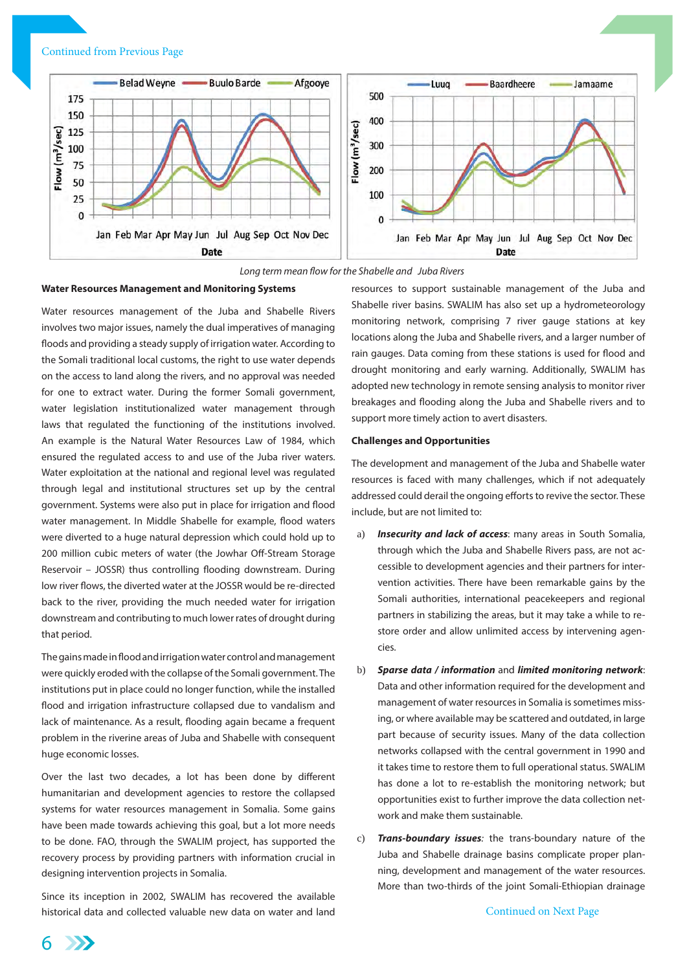#### Continued from Previous Page





#### **Water Resources Management and Monitoring Systems**

Water resources management of the Juba and Shabelle Rivers involves two major issues, namely the dual imperatives of managing floods and providing a steady supply of irrigation water. According to the Somali traditional local customs, the right to use water depends on the access to land along the rivers, and no approval was needed for one to extract water. During the former Somali government, water legislation institutionalized water management through laws that regulated the functioning of the institutions involved. An example is the Natural Water Resources Law of 1984, which ensured the regulated access to and use of the Juba river waters. Water exploitation at the national and regional level was regulated through legal and institutional structures set up by the central government. Systems were also put in place for irrigation and flood water management. In Middle Shabelle for example, flood waters were diverted to a huge natural depression which could hold up to 200 million cubic meters of water (the Jowhar Off-Stream Storage Reservoir – JOSSR) thus controlling flooding downstream. During low river flows, the diverted water at the JOSSR would be re-directed back to the river, providing the much needed water for irrigation downstream and contributing to much lower rates of drought during that period.

The gains made in flood and irrigation water control and management were quickly eroded with the collapse of the Somali government. The institutions put in place could no longer function, while the installed flood and irrigation infrastructure collapsed due to vandalism and lack of maintenance. As a result, flooding again became a frequent problem in the riverine areas of Juba and Shabelle with consequent huge economic losses.

Over the last two decades, a lot has been done by different humanitarian and development agencies to restore the collapsed systems for water resources management in Somalia. Some gains have been made towards achieving this goal, but a lot more needs to be done. FAO, through the SWALIM project, has supported the recovery process by providing partners with information crucial in designing intervention projects in Somalia.

Since its inception in 2002, SWALIM has recovered the available historical data and collected valuable new data on water and land resources to support sustainable management of the Juba and Shabelle river basins. SWALIM has also set up a hydrometeorology monitoring network, comprising 7 river gauge stations at key locations along the Juba and Shabelle rivers, and a larger number of rain gauges. Data coming from these stations is used for flood and drought monitoring and early warning. Additionally, SWALIM has adopted new technology in remote sensing analysis to monitor river breakages and flooding along the Juba and Shabelle rivers and to support more timely action to avert disasters.

#### **Challenges and Opportunities**

The development and management of the Juba and Shabelle water resources is faced with many challenges, which if not adequately addressed could derail the ongoing efforts to revive the sector. These include, but are not limited to:

- a) *Insecurity and lack of access*: many areas in South Somalia, through which the Juba and Shabelle Rivers pass, are not accessible to development agencies and their partners for intervention activities. There have been remarkable gains by the Somali authorities, international peacekeepers and regional partners in stabilizing the areas, but it may take a while to restore order and allow unlimited access by intervening agencies.
- b) *Sparse data / information* and *limited monitoring network*: Data and other information required for the development and management of water resources in Somalia is sometimes missing, or where available may be scattered and outdated, in large part because of security issues. Many of the data collection networks collapsed with the central government in 1990 and it takes time to restore them to full operational status. SWALIM has done a lot to re-establish the monitoring network; but opportunities exist to further improve the data collection network and make them sustainable.
- c) *Trans-boundary issues:* the trans-boundary nature of the Juba and Shabelle drainage basins complicate proper planning, development and management of the water resources. More than two-thirds of the joint Somali-Ethiopian drainage

6 **SSSS**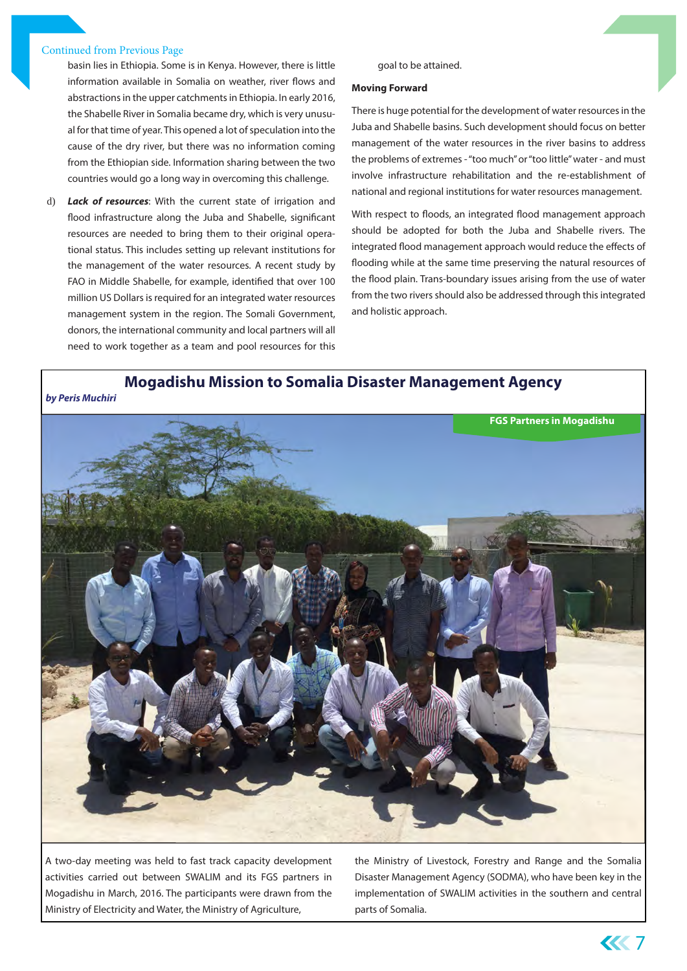#### Continued from Previous Page

basin lies in Ethiopia. Some is in Kenya. However, there is little information available in Somalia on weather, river flows and abstractions in the upper catchments in Ethiopia. In early 2016, the Shabelle River in Somalia became dry, which is very unusual for that time of year. This opened a lot of speculation into the cause of the dry river, but there was no information coming from the Ethiopian side. Information sharing between the two countries would go a long way in overcoming this challenge.

d) *Lack of resources*: With the current state of irrigation and flood infrastructure along the Juba and Shabelle, significant resources are needed to bring them to their original operational status. This includes setting up relevant institutions for the management of the water resources. A recent study by FAO in Middle Shabelle, for example, identified that over 100 million US Dollars is required for an integrated water resources management system in the region. The Somali Government, donors, the international community and local partners will all need to work together as a team and pool resources for this

#### goal to be attained.

#### **Moving Forward**

There is huge potential for the development of water resources in the Juba and Shabelle basins. Such development should focus on better management of the water resources in the river basins to address the problems of extremes - "too much" or "too little" water - and must involve infrastructure rehabilitation and the re-establishment of national and regional institutions for water resources management.

With respect to floods, an integrated flood management approach should be adopted for both the Juba and Shabelle rivers. The integrated flood management approach would reduce the effects of flooding while at the same time preserving the natural resources of the flood plain. Trans-boundary issues arising from the use of water from the two rivers should also be addressed through this integrated and holistic approach.

**Mogadishu Mission to Somalia Disaster Management Agency**

*by Peris Muchiri*



A two-day meeting was held to fast track capacity development activities carried out between SWALIM and its FGS partners in Mogadishu in March, 2016. The participants were drawn from the Ministry of Electricity and Water, the Ministry of Agriculture,

the Ministry of Livestock, Forestry and Range and the Somalia Disaster Management Agency (SODMA), who have been key in the implementation of SWALIM activities in the southern and central parts of Somalia.

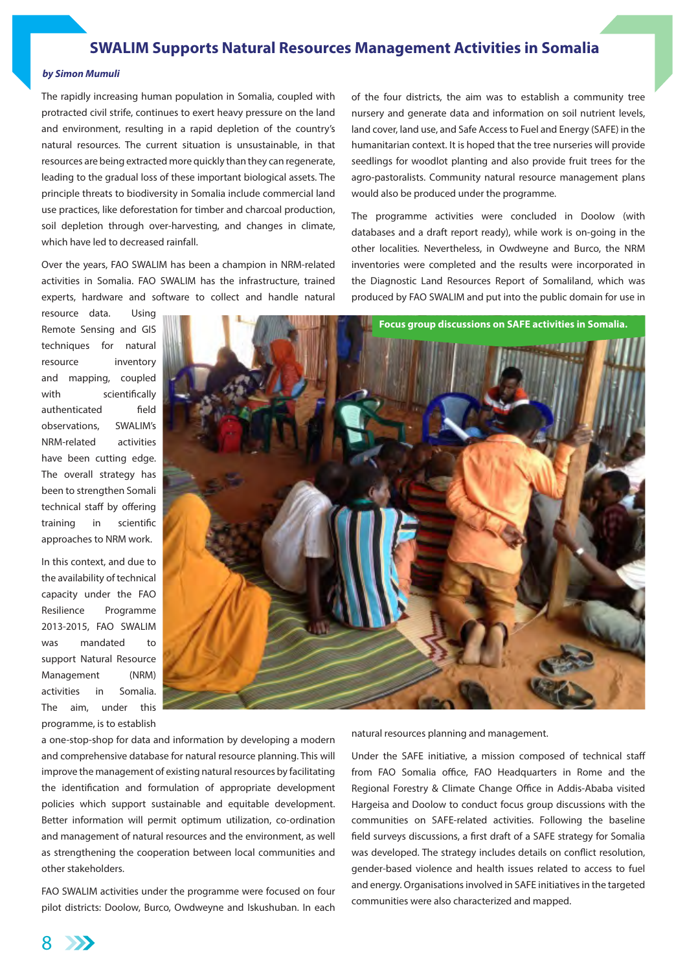### **SWALIM Supports Natural Resources Management Activities in Somalia**

#### *by Simon Mumuli*

The rapidly increasing human population in Somalia, coupled with protracted civil strife, continues to exert heavy pressure on the land and environment, resulting in a rapid depletion of the country's natural resources. The current situation is unsustainable, in that resources are being extracted more quickly than they can regenerate, leading to the gradual loss of these important biological assets. The principle threats to biodiversity in Somalia include commercial land use practices, like deforestation for timber and charcoal production, soil depletion through over-harvesting, and changes in climate, which have led to decreased rainfall.

Over the years, FAO SWALIM has been a champion in NRM-related activities in Somalia. FAO SWALIM has the infrastructure, trained experts, hardware and software to collect and handle natural

resource data. Using Remote Sensing and GIS techniques for natural resource inventory and mapping, coupled with scientifically authenticated field observations, SWALIM's NRM-related activities have been cutting edge. The overall strategy has been to strengthen Somali technical staff by offering training in scientific approaches to NRM work.

In this context, and due to the availability of technical capacity under the FAO Resilience Programme 2013-2015, FAO SWALIM was mandated to support Natural Resource Management (NRM) activities in Somalia. The aim, under this programme, is to establish



a one-stop-shop for data and information by developing a modern and comprehensive database for natural resource planning. This will improve the management of existing natural resources by facilitating the identification and formulation of appropriate development policies which support sustainable and equitable development. Better information will permit optimum utilization, co-ordination and management of natural resources and the environment, as well as strengthening the cooperation between local communities and other stakeholders.

FAO SWALIM activities under the programme were focused on four pilot districts: Doolow, Burco, Owdweyne and Iskushuban. In each natural resources planning and management.

Under the SAFE initiative, a mission composed of technical staff from FAO Somalia office, FAO Headquarters in Rome and the Regional Forestry & Climate Change Office in Addis-Ababa visited Hargeisa and Doolow to conduct focus group discussions with the communities on SAFE-related activities. Following the baseline field surveys discussions, a first draft of a SAFE strategy for Somalia was developed. The strategy includes details on conflict resolution, gender-based violence and health issues related to access to fuel and energy. Organisations involved in SAFE initiatives in the targeted communities were also characterized and mapped.

of the four districts, the aim was to establish a community tree nursery and generate data and information on soil nutrient levels, land cover, land use, and Safe Access to Fuel and Energy (SAFE) in the humanitarian context. It is hoped that the tree nurseries will provide seedlings for woodlot planting and also provide fruit trees for the agro-pastoralists. Community natural resource management plans

The programme activities were concluded in Doolow (with databases and a draft report ready), while work is on-going in the other localities. Nevertheless, in Owdweyne and Burco, the NRM inventories were completed and the results were incorporated in the Diagnostic Land Resources Report of Somaliland, which was produced by FAO SWALIM and put into the public domain for use in

would also be produced under the programme.

8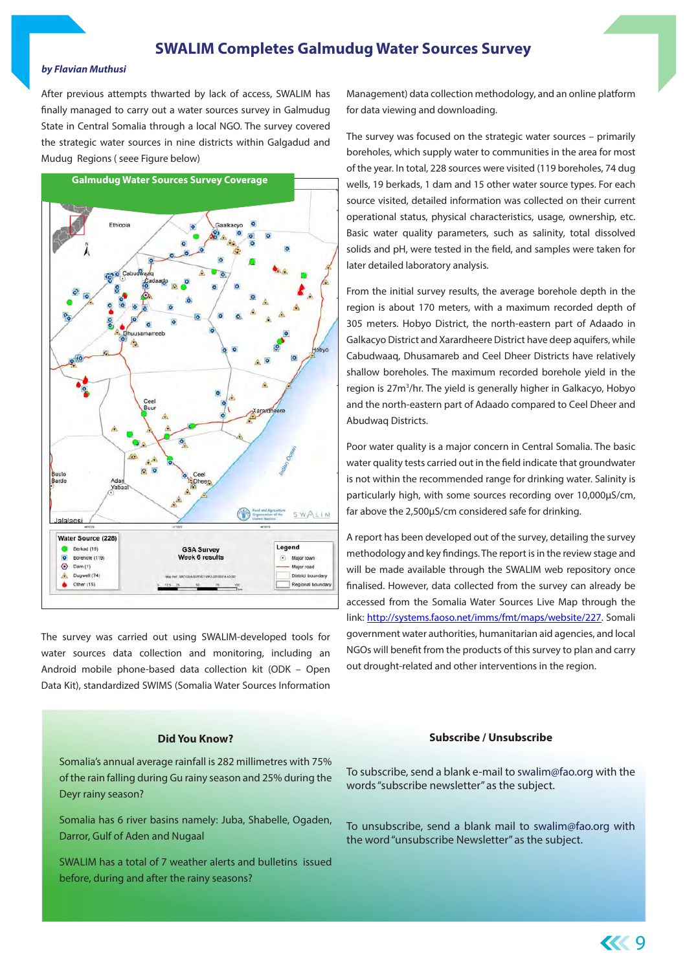### **SWALIM Completes Galmudug Water Sources Survey**

#### *by Flavian Muthusi*

After previous attempts thwarted by lack of access, SWALIM has finally managed to carry out a water sources survey in Galmudug State in Central Somalia through a local NGO. The survey covered the strategic water sources in nine districts within Galgadud and Mudug Regions ( seee Figure below)



The survey was carried out using SWALIM-developed tools for water sources data collection and monitoring, including an Android mobile phone-based data collection kit (ODK – Open Data Kit), standardized SWIMS (Somalia Water Sources Information

#### **Did You Know?**

Somalia's annual average rainfall is 282 millimetres with 75% of the rain falling during Gu rainy season and 25% during the Deyr rainy season?

Somalia has 6 river basins namely: Juba, Shabelle, Ogaden, Darror, Gulf of Aden and Nugaal

SWALIM has a total of 7 weather alerts and bulletins issued before, during and after the rainy seasons?

Management) data collection methodology, and an online platform for data viewing and downloading.

The survey was focused on the strategic water sources – primarily boreholes, which supply water to communities in the area for most of the year. In total, 228 sources were visited (119 boreholes, 74 dug wells, 19 berkads, 1 dam and 15 other water source types. For each source visited, detailed information was collected on their current operational status, physical characteristics, usage, ownership, etc. Basic water quality parameters, such as salinity, total dissolved solids and pH, were tested in the field, and samples were taken for later detailed laboratory analysis.

From the initial survey results, the average borehole depth in the region is about 170 meters, with a maximum recorded depth of 305 meters. Hobyo District, the north-eastern part of Adaado in Galkacyo District and Xarardheere District have deep aquifers, while Cabudwaaq, Dhusamareb and Ceel Dheer Districts have relatively shallow boreholes. The maximum recorded borehole yield in the region is 27m<sup>3</sup>/hr. The yield is generally higher in Galkacyo, Hobyo and the north-eastern part of Adaado compared to Ceel Dheer and Abudwaq Districts.

Poor water quality is a major concern in Central Somalia. The basic water quality tests carried out in the field indicate that groundwater is not within the recommended range for drinking water. Salinity is particularly high, with some sources recording over 10,000µS/cm, far above the 2,500µS/cm considered safe for drinking.

A report has been developed out of the survey, detailing the survey methodology and key findings. The report is in the review stage and will be made available through the SWALIM web repository once finalised. However, data collected from the survey can already be accessed from the Somalia Water Sources Live Map through the link: http://systems.faoso.net/imms/fmt/maps/website/227. Somali government water authorities, humanitarian aid agencies, and local NGOs will benefit from the products of this survey to plan and carry out drought-related and other interventions in the region.

#### **Subscribe / Unsubscribe**

To subscribe, send a blank e-mail to swalim@fao.org with the words "subscribe newsletter" as the subject.

To unsubscribe, send a blank mail to swalim@fao.org with the word "unsubscribe Newsletter" as the subject.

9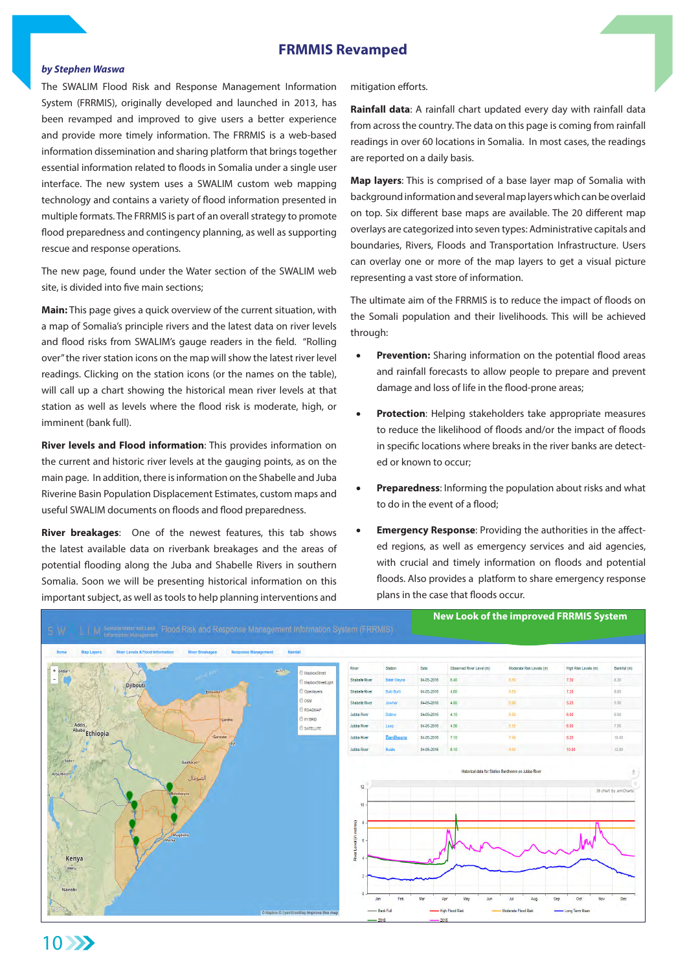### **FRMMIS Revamped**

### *by Stephen Waswa*

The SWALIM Flood Risk and Response Management Information System (FRRMIS), originally developed and launched in 2013, has been revamped and improved to give users a better experience and provide more timely information. The FRRMIS is a web-based information dissemination and sharing platform that brings together essential information related to floods in Somalia under a single user interface. The new system uses a SWALIM custom web mapping technology and contains a variety of flood information presented in multiple formats. The FRRMIS is part of an overall strategy to promote flood preparedness and contingency planning, as well as supporting rescue and response operations.

The new page, found under the Water section of the SWALIM web site, is divided into five main sections;

**Main:** This page gives a quick overview of the current situation, with a map of Somalia's principle rivers and the latest data on river levels and flood risks from SWALIM's gauge readers in the field. "Rolling over" the river station icons on the map will show the latest river level readings. Clicking on the station icons (or the names on the table), will call up a chart showing the historical mean river levels at that station as well as levels where the flood risk is moderate, high, or imminent (bank full).

**River levels and Flood information**: This provides information on the current and historic river levels at the gauging points, as on the main page. In addition, there is information on the Shabelle and Juba Riverine Basin Population Displacement Estimates, custom maps and useful SWALIM documents on floods and flood preparedness.

**River breakages**: One of the newest features, this tab shows the latest available data on riverbank breakages and the areas of potential flooding along the Juba and Shabelle Rivers in southern Somalia. Soon we will be presenting historical information on this important subject, as well as tools to help planning interventions and

mitigation efforts.

**Rainfall data**: A rainfall chart updated every day with rainfall data from across the country. The data on this page is coming from rainfall readings in over 60 locations in Somalia. In most cases, the readings are reported on a daily basis.

**Map layers**: This is comprised of a base layer map of Somalia with background information and several map layers which can be overlaid on top. Six different base maps are available. The 20 different map overlays are categorized into seven types: Administrative capitals and boundaries, Rivers, Floods and Transportation Infrastructure. Users can overlay one or more of the map layers to get a visual picture representing a vast store of information.

The ultimate aim of the FRRMIS is to reduce the impact of floods on the Somali population and their livelihoods. This will be achieved through:

- **Prevention:** Sharing information on the potential flood areas and rainfall forecasts to allow people to prepare and prevent damage and loss of life in the flood-prone areas;
- **Protection:** Helping stakeholders take appropriate measures to reduce the likelihood of floods and/or the impact of floods in specific locations where breaks in the river banks are detected or known to occur;
- **Preparedness:** Informing the population about risks and what to do in the event of a flood;
- **Emergency Response: Providing the authorities in the affect**ed regions, as well as emergency services and aid agencies, with crucial and timely information on floods and potential floods. Also provides a platform to share emergency response plans in the case that floods occur.

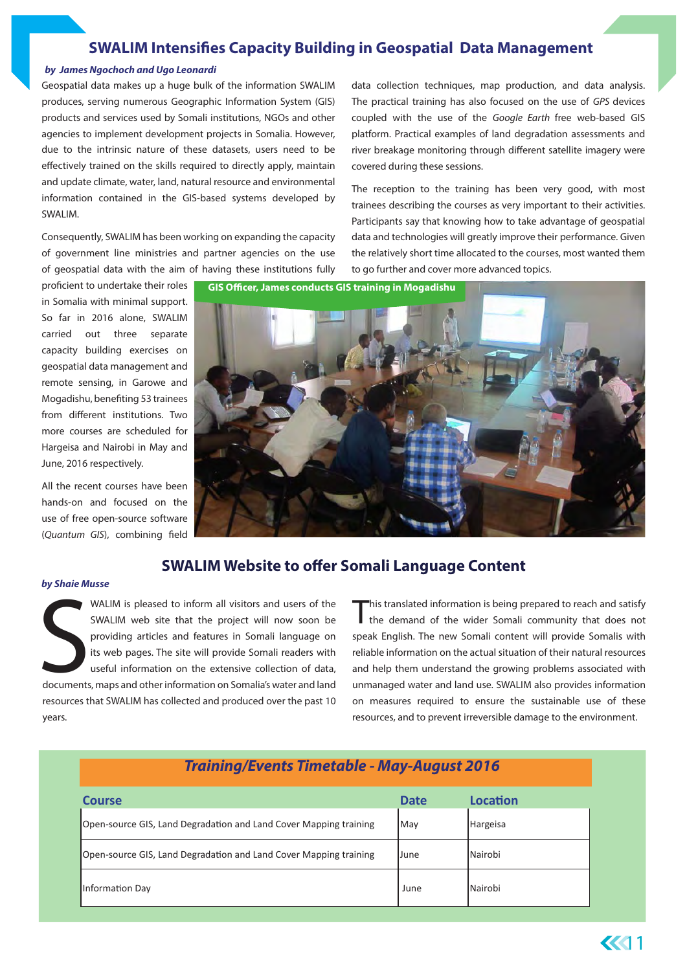### **SWALIM Intensifies Capacity Building in Geospatial Data Management**

#### *by James Ngochoch and Ugo Leonardi*

Geospatial data makes up a huge bulk of the information SWALIM produces, serving numerous Geographic Information System (GIS) products and services used by Somali institutions, NGOs and other agencies to implement development projects in Somalia. However, due to the intrinsic nature of these datasets, users need to be effectively trained on the skills required to directly apply, maintain and update climate, water, land, natural resource and environmental information contained in the GIS-based systems developed by SWALIM.

Consequently, SWALIM has been working on expanding the capacity of government line ministries and partner agencies on the use of geospatial data with the aim of having these institutions fully data collection techniques, map production, and data analysis. The practical training has also focused on the use of *GPS* devices coupled with the use of the *Google Earth* free web-based GIS platform. Practical examples of land degradation assessments and river breakage monitoring through different satellite imagery were covered during these sessions.

The reception to the training has been very good, with most trainees describing the courses as very important to their activities. Participants say that knowing how to take advantage of geospatial data and technologies will greatly improve their performance. Given the relatively short time allocated to the courses, most wanted them to go further and cover more advanced topics.

proficient to undertake their roles in Somalia with minimal support. So far in 2016 alone, SWALIM carried out three separate capacity building exercises on geospatial data management and remote sensing, in Garowe and Mogadishu, benefiting 53 trainees from different institutions. Two more courses are scheduled for Hargeisa and Nairobi in May and June, 2016 respectively.

All the recent courses have been hands-on and focused on the use of free open-source software (*Quantum GIS*), combining field

**GIS Officer, James conducts GIS training in Mogadishu**



### **SWALIM Website to offer Somali Language Content**

#### *by Shaie Musse*

S<sub>documents</sub> WALIM is pleased to inform all visitors and users of the SWALIM web site that the project will now soon be providing articles and features in Somali language on its web pages. The site will provide Somali readers with useful information on the extensive collection of data, documents, maps and other information on Somalia's water and land resources that SWALIM has collected and produced over the past 10 years.

This translated information is being prepared to reach and satisfy the demand of the wider Somali community that does not speak English. The new Somali content will provide Somalis with reliable information on the actual situation of their natural resources and help them understand the growing problems associated with unmanaged water and land use. SWALIM also provides information on measures required to ensure the sustainable use of these resources, and to prevent irreversible damage to the environment.

| <b>Training/Events Timetable - May-August 2016</b>                |             |                |  |
|-------------------------------------------------------------------|-------------|----------------|--|
| <b>Course</b>                                                     | <b>Date</b> | Location       |  |
| Open-source GIS, Land Degradation and Land Cover Mapping training | <b>May</b>  | Hargeisa       |  |
| Open-source GIS, Land Degradation and Land Cover Mapping training | <b>June</b> | <b>Nairobi</b> |  |
| Information Day                                                   | June        | Nairobi        |  |